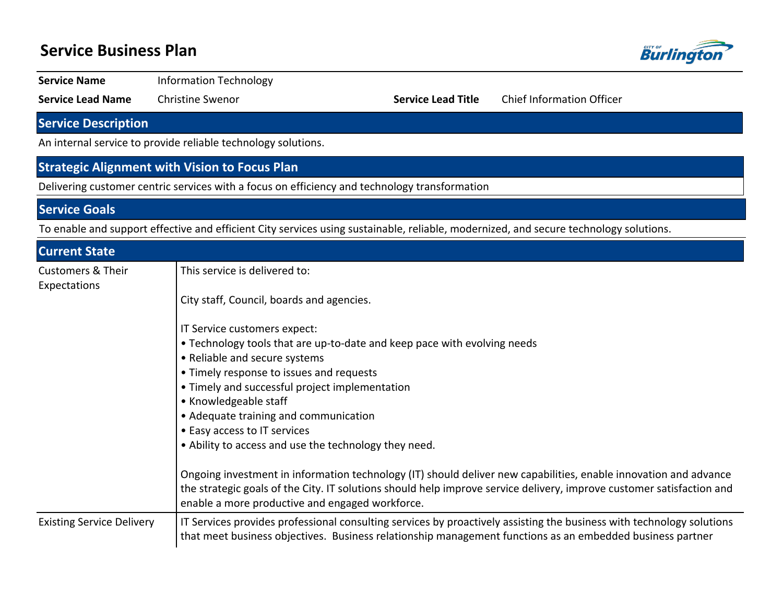## **Service Business Plan**



**Service Name Information Technology** 

**Service Lead Name** Christine Swenor **Service Lead Title** Chief Information Officer

**Service Description**

An internal service to provide reliable technology solutions.

### **Strategic Alignment with Vision to Focus Plan**

Delivering customer centric services with a focus on efficiency and technology transformation

**Service Goals**

To enable and support effective and efficient City services using sustainable, reliable, modernized, and secure technology solutions.

| <b>Current State</b>                         |                                                                                                                                                                                                                                                                                              |
|----------------------------------------------|----------------------------------------------------------------------------------------------------------------------------------------------------------------------------------------------------------------------------------------------------------------------------------------------|
| <b>Customers &amp; Their</b><br>Expectations | This service is delivered to:                                                                                                                                                                                                                                                                |
|                                              | City staff, Council, boards and agencies.                                                                                                                                                                                                                                                    |
|                                              | IT Service customers expect:                                                                                                                                                                                                                                                                 |
|                                              | • Technology tools that are up-to-date and keep pace with evolving needs                                                                                                                                                                                                                     |
|                                              | • Reliable and secure systems                                                                                                                                                                                                                                                                |
|                                              | • Timely response to issues and requests                                                                                                                                                                                                                                                     |
|                                              | • Timely and successful project implementation                                                                                                                                                                                                                                               |
|                                              | • Knowledgeable staff                                                                                                                                                                                                                                                                        |
|                                              | • Adequate training and communication                                                                                                                                                                                                                                                        |
|                                              | • Easy access to IT services                                                                                                                                                                                                                                                                 |
|                                              | • Ability to access and use the technology they need.                                                                                                                                                                                                                                        |
|                                              | Ongoing investment in information technology (IT) should deliver new capabilities, enable innovation and advance<br>the strategic goals of the City. IT solutions should help improve service delivery, improve customer satisfaction and<br>enable a more productive and engaged workforce. |
| <b>Existing Service Delivery</b>             | IT Services provides professional consulting services by proactively assisting the business with technology solutions<br>that meet business objectives. Business relationship management functions as an embedded business partner                                                           |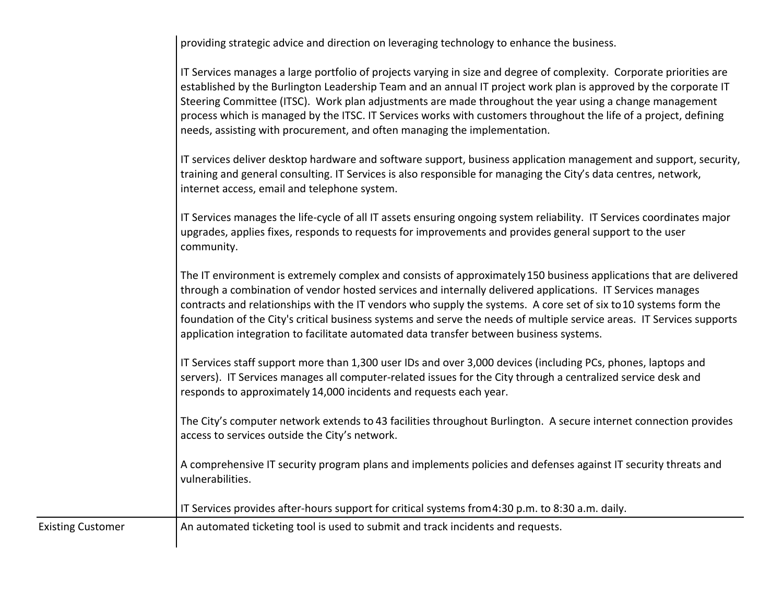providing strategic advice and direction on leveraging technology to enhance the business.

IT Services manages a large portfolio of projects varying in size and degree of complexity. Corporate priorities are established by the Burlington Leadership Team and an annual IT project work plan is approved by the corporate IT Steering Committee (ITSC). Work plan adjustments are made throughout the year using a change management process which is managed by the ITSC. IT Services works with customers throughout the life of a project, defining needs, assisting with procurement, and often managing the implementation.

IT services deliver desktop hardware and software support, business application management and support, security, training and general consulting. IT Services is also responsible for managing the City's data centres, network, internet access, email and telephone system.

IT Services manages the life-cycle of all IT assets ensuring ongoing system reliability. IT Services coordinates major upgrades, applies fixes, responds to requests for improvements and provides general support to the user community.

The IT environment is extremely complex and consists of approximately 150 business applications that are delivered through a combination of vendor hosted services and internally delivered applications. IT Services manages contracts and relationships with the IT vendors who supply the systems. A core set of six to 10 systems form the foundation of the City's critical business systems and serve the needs of multiple service areas. IT Services supports application integration to facilitate automated data transfer between business systems.

IT Services staff support more than 1,300 user IDs and over 3,000 devices (including PCs, phones, laptops and servers). IT Services manages all computer-related issues for the City through a centralized service desk and responds to approximately 14,000 incidents and requests each year.

The City's computer network extends to 43 facilities throughout Burlington. A secure internet connection provides access to services outside the City's network.

A comprehensive IT security program plans and implements policies and defenses against IT security threats and vulnerabilities.

IT Services provides after-hours support for critical systems from 4:30 p.m. to 8:30 a.m. daily.

Existing Customer **An automated ticketing tool is used to submit and track incidents and requests.**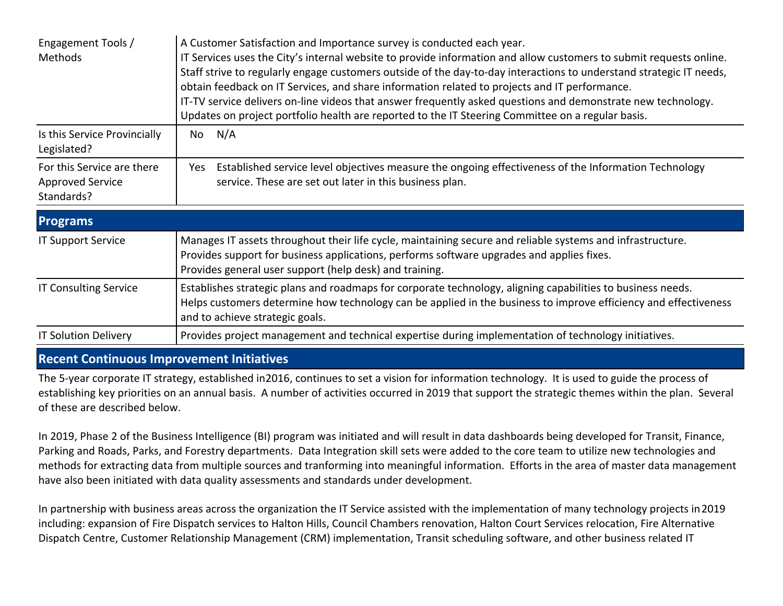| Engagement Tools /<br>Methods                                       | A Customer Satisfaction and Importance survey is conducted each year.<br>IT Services uses the City's internal website to provide information and allow customers to submit requests online.<br>Staff strive to regularly engage customers outside of the day-to-day interactions to understand strategic IT needs,<br>obtain feedback on IT Services, and share information related to projects and IT performance.<br>IT-TV service delivers on-line videos that answer frequently asked questions and demonstrate new technology.<br>Updates on project portfolio health are reported to the IT Steering Committee on a regular basis. |
|---------------------------------------------------------------------|------------------------------------------------------------------------------------------------------------------------------------------------------------------------------------------------------------------------------------------------------------------------------------------------------------------------------------------------------------------------------------------------------------------------------------------------------------------------------------------------------------------------------------------------------------------------------------------------------------------------------------------|
| Is this Service Provincially<br>Legislated?                         | N/A<br>No                                                                                                                                                                                                                                                                                                                                                                                                                                                                                                                                                                                                                                |
| For this Service are there<br><b>Approved Service</b><br>Standards? | Established service level objectives measure the ongoing effectiveness of the Information Technology<br>Yes<br>service. These are set out later in this business plan.                                                                                                                                                                                                                                                                                                                                                                                                                                                                   |
| <b>Programs</b>                                                     |                                                                                                                                                                                                                                                                                                                                                                                                                                                                                                                                                                                                                                          |
| <b>IT Support Service</b>                                           | Manages IT assets throughout their life cycle, maintaining secure and reliable systems and infrastructure.<br>Provides support for business applications, performs software upgrades and applies fixes.<br>Provides general user support (help desk) and training.                                                                                                                                                                                                                                                                                                                                                                       |
| <b>IT Consulting Service</b>                                        | Establishes strategic plans and roadmaps for corporate technology, aligning capabilities to business needs.<br>Helps customers determine how technology can be applied in the business to improve efficiency and effectiveness<br>and to achieve strategic goals.                                                                                                                                                                                                                                                                                                                                                                        |
| <b>IT Solution Delivery</b>                                         | Provides project management and technical expertise during implementation of technology initiatives.                                                                                                                                                                                                                                                                                                                                                                                                                                                                                                                                     |

#### **Recent Continuous Improvement Initiatives**

The 5-year corporate IT strategy, established in 2016, continues to set a vision for information technology. It is used to guide the process of establishing key priorities on an annual basis. A number of activities occurred in 2019 that support the strategic themes within the plan. Several of these are described below.

In 2019, Phase 2 of the Business Intelligence (BI) program was initiated and will result in data dashboards being developed for Transit, Finance, Parking and Roads, Parks, and Forestry departments. Data Integration skill sets were added to the core team to utilize new technologies and methods for extracting data from multiple sources and tranforming into meaningful information. Efforts in the area of master data management have also been initiated with data quality assessments and standards under development.

In partnership with business areas across the organization the IT Service assisted with the implementation of many technology projects in 2019 including: expansion of Fire Dispatch services to Halton Hills, Council Chambers renovation, Halton Court Services relocation, Fire Alternative Dispatch Centre, Customer Relationship Management (CRM) implementation, Transit scheduling software, and other business related IT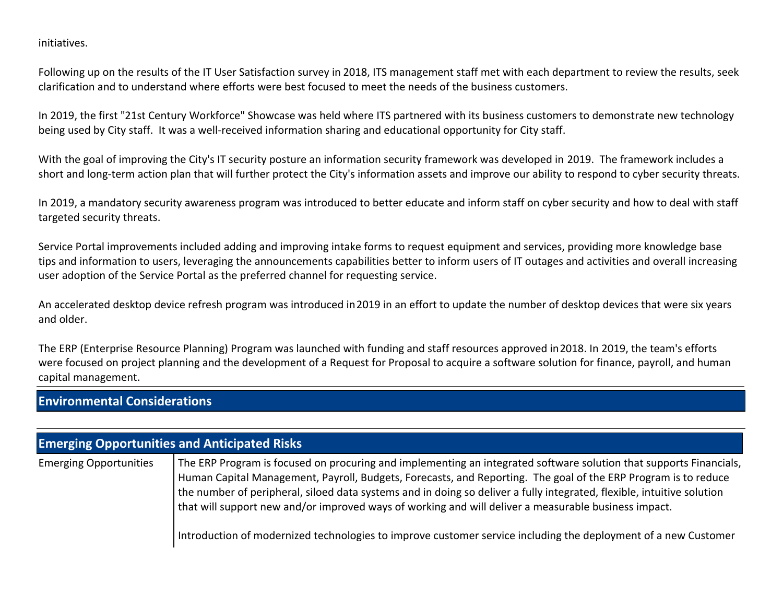initiatives.

Following up on the results of the IT User Satisfaction survey in 2018, ITS management staff met with each department to review the results, seek clarification and to understand where efforts were best focused to meet the needs of the business customers.

In 2019, the first "21st Century Workforce" Showcase was held where ITS partnered with its business customers to demonstrate new technology being used by City staff. It was a well-received information sharing and educational opportunity for City staff.

With the goal of improving the City's IT security posture an information security framework was developed in 2019. The framework includes a short and long-term action plan that will further protect the City's information assets and improve our ability to respond to cyber security threats.

In 2019, a mandatory security awareness program was introduced to better educate and inform staff on cyber security and how to deal with staff targeted security threats.

Service Portal improvements included adding and improving intake forms to request equipment and services, providing more knowledge base tips and information to users, leveraging the announcements capabilities better to inform users of IT outages and activities and overall increasing user adoption of the Service Portal as the preferred channel for requesting service.

An accelerated desktop device refresh program was introduced in 2019 in an effort to update the number of desktop devices that were six years and older.

The ERP (Enterprise Resource Planning) Program was launched with funding and staff resources approved in 2018. In 2019, the team's efforts were focused on project planning and the development of a Request for Proposal to acquire a software solution for finance, payroll, and human capital management.

### **Environmental Considerations**

| <b>Emerging Opportunities and Anticipated Risks</b> |                                                                                                                                                                                                                                                                                                                                                                                                                                                                                                                                                                                          |  |  |  |  |
|-----------------------------------------------------|------------------------------------------------------------------------------------------------------------------------------------------------------------------------------------------------------------------------------------------------------------------------------------------------------------------------------------------------------------------------------------------------------------------------------------------------------------------------------------------------------------------------------------------------------------------------------------------|--|--|--|--|
| <b>Emerging Opportunities</b>                       | The ERP Program is focused on procuring and implementing an integrated software solution that supports Financials,<br>Human Capital Management, Payroll, Budgets, Forecasts, and Reporting. The goal of the ERP Program is to reduce<br>the number of peripheral, siloed data systems and in doing so deliver a fully integrated, flexible, intuitive solution<br>that will support new and/or improved ways of working and will deliver a measurable business impact.<br>Introduction of modernized technologies to improve customer service including the deployment of a new Customer |  |  |  |  |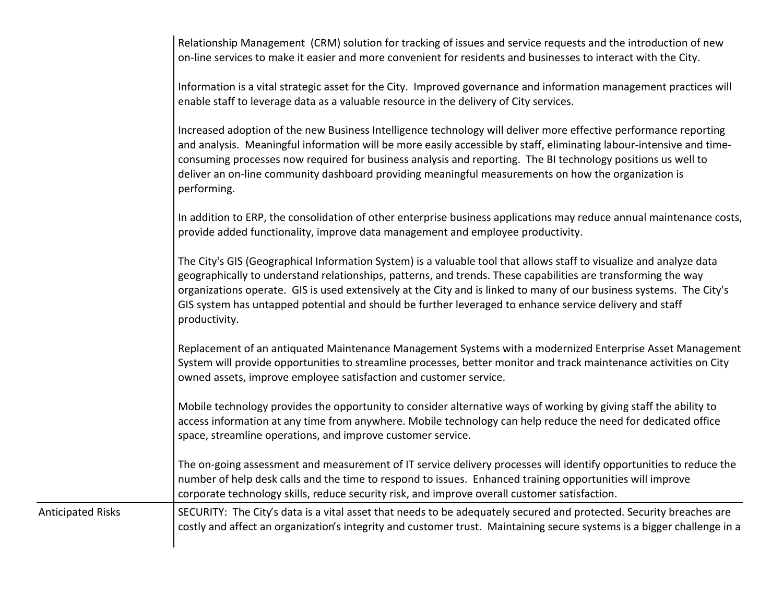Relationship Management (CRM) solution for tracking of issues and service requests and the introduction of new on-line services to make it easier and more convenient for residents and businesses to interact with the City.

Information is a vital strategic asset for the City. Improved governance and information management practices will enable staff to leverage data as a valuable resource in the delivery of City services.

Increased adoption of the new Business Intelligence technology will deliver more effective performance reporting and analysis. Meaningful information will be more easily accessible by staff, eliminating labour-intensive and timeconsuming processes now required for business analysis and reporting. The BI technology positions us well to deliver an on-line community dashboard providing meaningful measurements on how the organization is performing.

In addition to ERP, the consolidation of other enterprise business applications may reduce annual maintenance costs, provide added functionality, improve data management and employee productivity.

The City's GIS (Geographical Information System) is a valuable tool that allows staff to visualize and analyze data geographically to understand relationships, patterns, and trends. These capabilities are transforming the way organizations operate. GIS is used extensively at the City and is linked to many of our business systems. The City's GIS system has untapped potential and should be further leveraged to enhance service delivery and staff productivity.

Replacement of an antiquated Maintenance Management Systems with a modernized Enterprise Asset Management System will provide opportunities to streamline processes, better monitor and track maintenance activities on City owned assets, improve employee satisfaction and customer service.

Mobile technology provides the opportunity to consider alternative ways of working by giving staff the ability to access information at any time from anywhere. Mobile technology can help reduce the need for dedicated office space, streamline operations, and improve customer service.

The on-going assessment and measurement of IT service delivery processes will identify opportunities to reduce the number of help desk calls and the time to respond to issues. Enhanced training opportunities will improve corporate technology skills, reduce security risk, and improve overall customer satisfaction.

Anticipated Risks SECURITY: The City's data is a vital asset that needs to be adequately secured and protected. Security breaches are costly and affect an organization's integrity and customer trust. Maintaining secure systems is a bigger challenge in a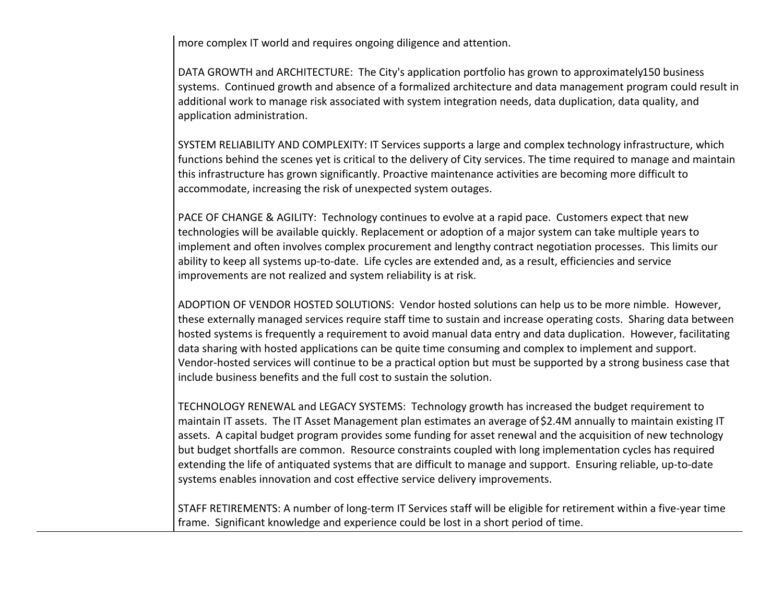more complex IT world and requires ongoing diligence and attention.

DATA GROWTH and ARCHITECTURE: The City's application portfolio has grown to approximately 150 business systems. Continued growth and absence of a formalized architecture and data management program could result in additional work to manage risk associated with system integration needs, data duplication, data quality, and application administration.

SYSTEM RELIABILITY AND COMPLEXITY: IT Services supports a large and complex technology infrastructure, which functions behind the scenes yet is critical to the delivery of City services. The time required to manage and maintain this infrastructure has grown significantly. Proactive maintenance activities are becoming more difficult to accommodate, increasing the risk of unexpected system outages.

PACE OF CHANGE & AGILITY: Technology continues to evolve at a rapid pace. Customers expect that new technologies will be available quickly. Replacement or adoption of a major system can take multiple years to implement and often involves complex procurement and lengthy contract negotiation processes. This limits our ability to keep all systems up-to-date. Life cycles are extended and, as a result, efficiencies and service improvements are not realized and system reliability is at risk.

ADOPTION OF VENDOR HOSTED SOLUTIONS: Vendor hosted solutions can help us to be more nimble. However, these externally managed services require staff time to sustain and increase operating costs. Sharing data between hosted systems is frequently a requirement to avoid manual data entry and data duplication. However, facilitating data sharing with hosted applications can be quite time consuming and complex to implement and support. Vendor-hosted services will continue to be a practical option but must be supported by a strong business case that include business benefits and the full cost to sustain the solution.

TECHNOLOGY RENEWAL and LEGACY SYSTEMS: Technology growth has increased the budget requirement to maintain IT assets. The IT Asset Management plan estimates an average of \$2.4M annually to maintain existing IT assets. A capital budget program provides some funding for asset renewal and the acquisition of new technology but budget shortfalls are common. Resource constraints coupled with long implementation cycles has required extending the life of antiquated systems that are difficult to manage and support. Ensuring reliable, up-to-date systems enables innovation and cost effective service delivery improvements.

STAFF RETIREMENTS: A number of long-term IT Services staff will be eligible for retirement within a five-year time frame. Significant knowledge and experience could be lost in a short period of time.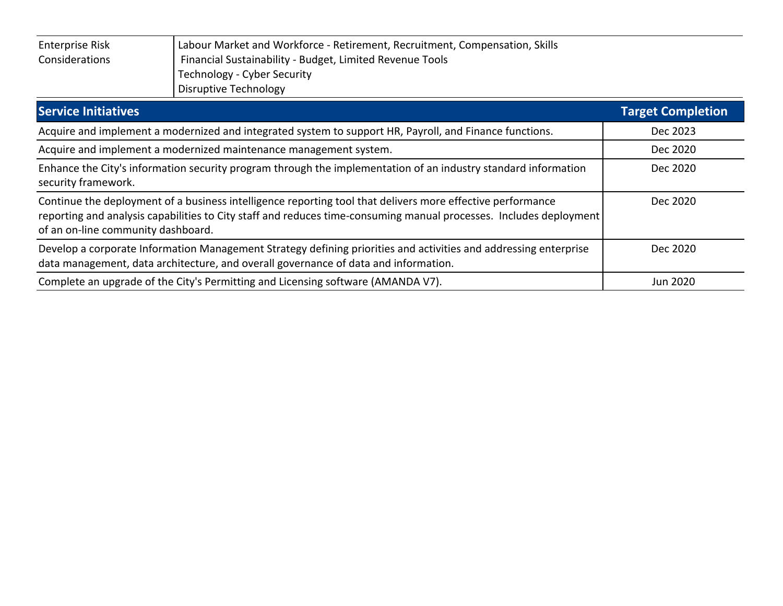| <b>Enterprise Risk</b> | Labour Market and Workforce - Retirement, Recruitment, Compensation, Skills |
|------------------------|-----------------------------------------------------------------------------|
| Considerations         | Financial Sustainability - Budget, Limited Revenue Tools                    |
|                        | Technology - Cyber Security                                                 |
|                        | Disruptive Technology                                                       |

| <b>Service Initiatives</b>                                                                                                                                                                                                                                             | <b>Target Completion</b> |
|------------------------------------------------------------------------------------------------------------------------------------------------------------------------------------------------------------------------------------------------------------------------|--------------------------|
| Acquire and implement a modernized and integrated system to support HR, Payroll, and Finance functions.                                                                                                                                                                | Dec 2023                 |
| Acquire and implement a modernized maintenance management system.                                                                                                                                                                                                      | Dec 2020                 |
| Enhance the City's information security program through the implementation of an industry standard information<br>security framework.                                                                                                                                  | Dec 2020                 |
| Continue the deployment of a business intelligence reporting tool that delivers more effective performance<br>reporting and analysis capabilities to City staff and reduces time-consuming manual processes. Includes deployment<br>of an on-line community dashboard. | Dec 2020                 |
| Develop a corporate Information Management Strategy defining priorities and activities and addressing enterprise<br>data management, data architecture, and overall governance of data and information.                                                                | Dec 2020                 |
| Complete an upgrade of the City's Permitting and Licensing software (AMANDA V7).                                                                                                                                                                                       | Jun 2020                 |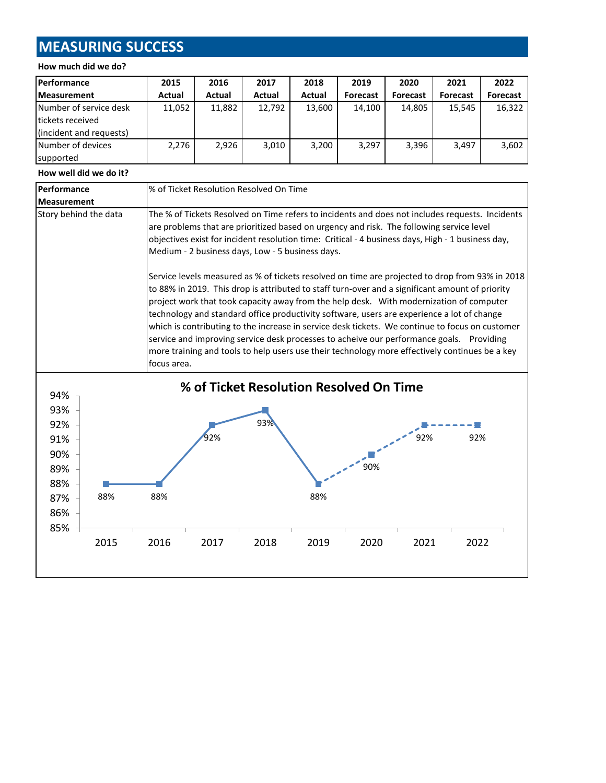# **MEASURING SUCCESS**

#### **How much did we do?**

| <b>Performance</b>      | 2015   | 2016   | 2017   | 2018   | 2019            | 2020            | 2021            | 2022            |
|-------------------------|--------|--------|--------|--------|-----------------|-----------------|-----------------|-----------------|
| <b>Measurement</b>      | Actual | Actual | Actual | Actual | <b>Forecast</b> | <b>Forecast</b> | <b>Forecast</b> | <b>Forecast</b> |
| Number of service desk  | 11,052 | 11,882 | 12,792 | 13,600 | 14.100          | 14,805          | 15.545          | 16,322          |
| Itickets received       |        |        |        |        |                 |                 |                 |                 |
| (incident and requests) |        |        |        |        |                 |                 |                 |                 |
| Number of devices       | 2,276  | 2.926  | 3,010  | 3,200  | 3,297           | 3,396           | 3.497           | 3,602           |
| supported               |        |        |        |        |                 |                 |                 |                 |

#### **How well did we do it?**

| Performance                                                                                                                                                                                                                                                                                                                                                                                                                                                                                                                                                                                                                                                                                                 | % of Ticket Resolution Resolved On Time |                                                                                                                                                                                                                                                                                                                                                      |      |      |                                         |      |      |
|-------------------------------------------------------------------------------------------------------------------------------------------------------------------------------------------------------------------------------------------------------------------------------------------------------------------------------------------------------------------------------------------------------------------------------------------------------------------------------------------------------------------------------------------------------------------------------------------------------------------------------------------------------------------------------------------------------------|-----------------------------------------|------------------------------------------------------------------------------------------------------------------------------------------------------------------------------------------------------------------------------------------------------------------------------------------------------------------------------------------------------|------|------|-----------------------------------------|------|------|
| <b>Measurement</b>                                                                                                                                                                                                                                                                                                                                                                                                                                                                                                                                                                                                                                                                                          |                                         |                                                                                                                                                                                                                                                                                                                                                      |      |      |                                         |      |      |
| Story behind the data                                                                                                                                                                                                                                                                                                                                                                                                                                                                                                                                                                                                                                                                                       |                                         | The % of Tickets Resolved on Time refers to incidents and does not includes requests. Incidents<br>are problems that are prioritized based on urgency and risk. The following service level<br>objectives exist for incident resolution time: Critical - 4 business days, High - 1 business day,<br>Medium - 2 business days, Low - 5 business days. |      |      |                                         |      |      |
| Service levels measured as % of tickets resolved on time are projected to drop from 93% in 2018<br>to 88% in 2019. This drop is attributed to staff turn-over and a significant amount of priority<br>project work that took capacity away from the help desk. With modernization of computer<br>technology and standard office productivity software, users are experience a lot of change<br>which is contributing to the increase in service desk tickets. We continue to focus on customer<br>service and improving service desk processes to acheive our performance goals. Providing<br>more training and tools to help users use their technology more effectively continues be a key<br>focus area. |                                         |                                                                                                                                                                                                                                                                                                                                                      |      |      |                                         |      |      |
| 94%<br>93%<br>92%<br>91%                                                                                                                                                                                                                                                                                                                                                                                                                                                                                                                                                                                                                                                                                    |                                         | 92%                                                                                                                                                                                                                                                                                                                                                  | 93%  |      | % of Ticket Resolution Resolved On Time | 92%  | 92%  |
| 90%<br>89%<br>88%<br>88%<br>87%<br>86%                                                                                                                                                                                                                                                                                                                                                                                                                                                                                                                                                                                                                                                                      | 88%                                     |                                                                                                                                                                                                                                                                                                                                                      |      | 88%  | 90%                                     |      |      |
| 85%<br>2015                                                                                                                                                                                                                                                                                                                                                                                                                                                                                                                                                                                                                                                                                                 | 2016                                    | 2017                                                                                                                                                                                                                                                                                                                                                 | 2018 | 2019 | 2020                                    | 2021 | 2022 |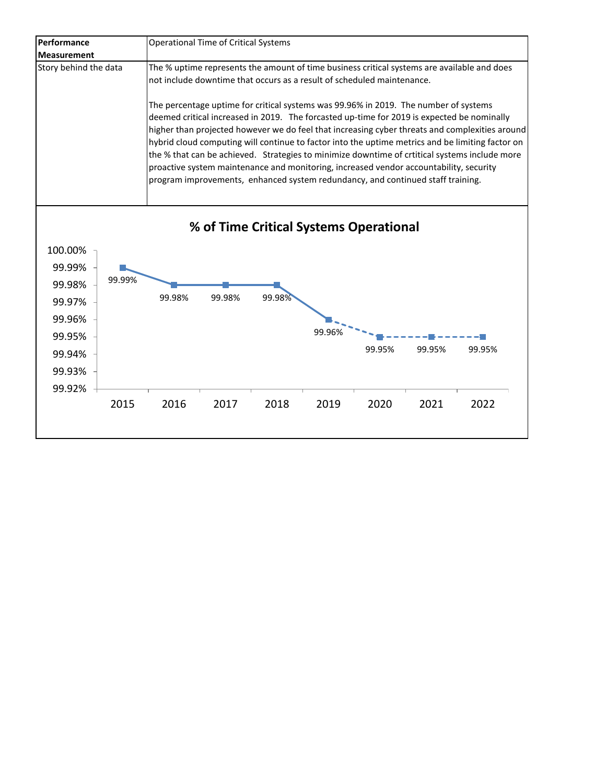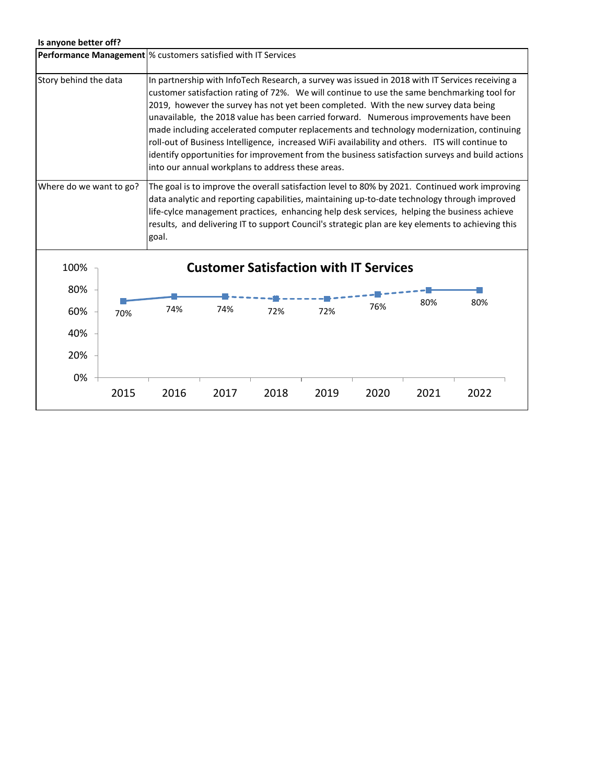